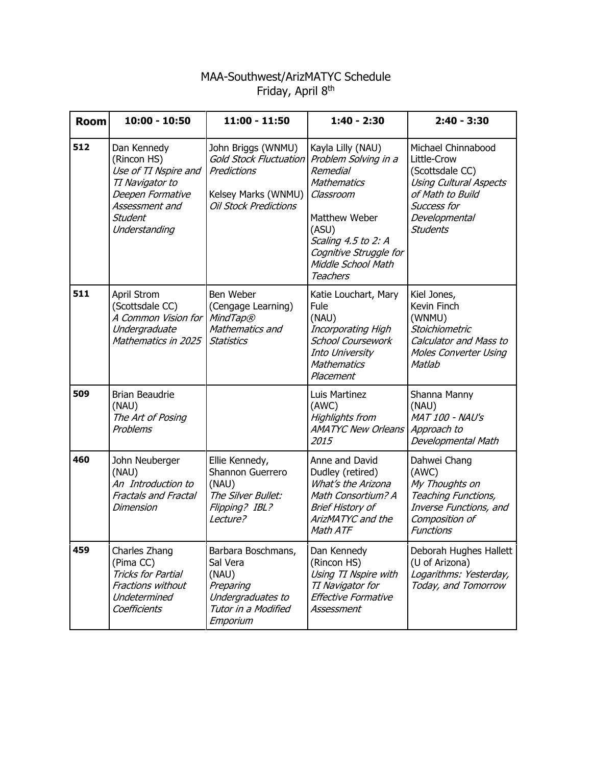## MAA-Southwest/ArizMATYC Schedule Friday, April 8<sup>th</sup>

| <b>Room</b> | $10:00 - 10:50$                                                                                                                                | $11:00 - 11:50$                                                                                                           | $1:40 - 2:30$                                                                                                                                                                                                       | $2:40 - 3:30$                                                                                                                                                |
|-------------|------------------------------------------------------------------------------------------------------------------------------------------------|---------------------------------------------------------------------------------------------------------------------------|---------------------------------------------------------------------------------------------------------------------------------------------------------------------------------------------------------------------|--------------------------------------------------------------------------------------------------------------------------------------------------------------|
| 512         | Dan Kennedy<br>(Rincon HS)<br>Use of TI Nspire and<br>TI Navigator to<br>Deepen Formative<br>Assessment and<br><b>Student</b><br>Understanding | John Briggs (WNMU)<br><b>Gold Stock Fluctuation</b><br>Predictions<br>Kelsey Marks (WNMU)<br><b>Oil Stock Predictions</b> | Kayla Lilly (NAU)<br>Problem Solving in a<br><b>Remedial</b><br><b>Mathematics</b><br>Classroom<br>Matthew Weber<br>(ASU)<br>Scaling 4.5 to 2: A<br>Cognitive Struggle for<br>Middle School Math<br><b>Teachers</b> | Michael Chinnabood<br>Little-Crow<br>(Scottsdale CC)<br><b>Using Cultural Aspects</b><br>of Math to Build<br>Success for<br>Developmental<br><b>Students</b> |
| 511         | April Strom<br>(Scottsdale CC)<br>A Common Vision for<br>Undergraduate<br>Mathematics in 2025                                                  | Ben Weber<br>(Cengage Learning)<br>MindTap®<br>Mathematics and<br><b>Statistics</b>                                       | Katie Louchart, Mary<br>Fule<br>(NAU)<br>Incorporating High<br><b>School Coursework</b><br>Into University<br><b>Mathematics</b><br>Placement                                                                       | Kiel Jones,<br>Kevin Finch<br>(WNMU)<br>Stoichiometric<br><b>Calculator and Mass to</b><br><b>Moles Converter Using</b><br>Matlab                            |
| 509         | <b>Brian Beaudrie</b><br>(NAU)<br>The Art of Posing<br>Problems                                                                                |                                                                                                                           | Luis Martinez<br>(AWC)<br><b>Highlights from</b><br><b>AMATYC New Orleans</b><br>2015                                                                                                                               | Shanna Manny<br>(NAU)<br><b>MAT 100 - NAU's</b><br>Approach to<br>Developmental Math                                                                         |
| 460         | John Neuberger<br>(NAU)<br>An Introduction to<br><b>Fractals and Fractal</b><br>Dimension                                                      | Ellie Kennedy,<br>Shannon Guerrero<br>(NAU)<br>The Silver Bullet:<br>Flipping? IBL?<br>Lecture?                           | Anne and David<br>Dudley (retired)<br>What's the Arizona<br>Math Consortium? A<br><b>Brief History of</b><br>ArizMATYC and the<br>Math ATF                                                                          | Dahwei Chang<br>(AWC)<br>My Thoughts on<br>Teaching Functions,<br>Inverse Functions, and<br>Composition of<br><b>Functions</b>                               |
| 459         | Charles Zhang<br>(Pima CC)<br>Tricks for Partial<br>Fractions without<br>Undetermined<br>Coefficients                                          | Barbara Boschmans,<br>Sal Vera<br>(NAU)<br>Preparing<br>Undergraduates to<br>Tutor in a Modified<br>Emporium              | Dan Kennedy<br>(Rincon HS)<br>Using TI Nspire with<br>TI Navigator for<br>Effective Formative<br>Assessment                                                                                                         | Deborah Hughes Hallett<br>(U of Arizona)<br>Logarithms: Yesterday,<br>Today, and Tomorrow                                                                    |